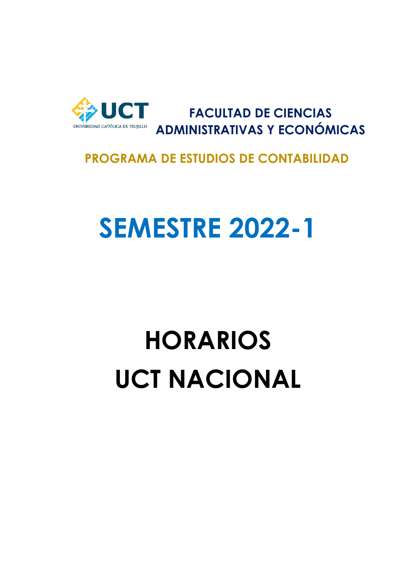

**FACULTAD DE CIENCIAS ADMINISTRATIVAS Y ECONÓMICAS**

### **PROGRAMA DE ESTUDIOS DE CONTABILIDAD**

### **SEMESTRE 2022-1**

## **HORARIOS UCT NACIONAL**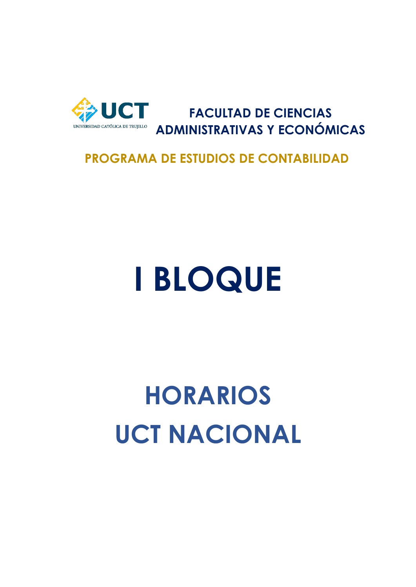

**FACULTAD DE CIENCIAS ADMINISTRATIVAS Y ECONÓMICAS**

#### **PROGRAMA DE ESTUDIOS DE CONTABILIDAD**

## **I BLOQUE**

## **HORARIOS UCT NACIONAL**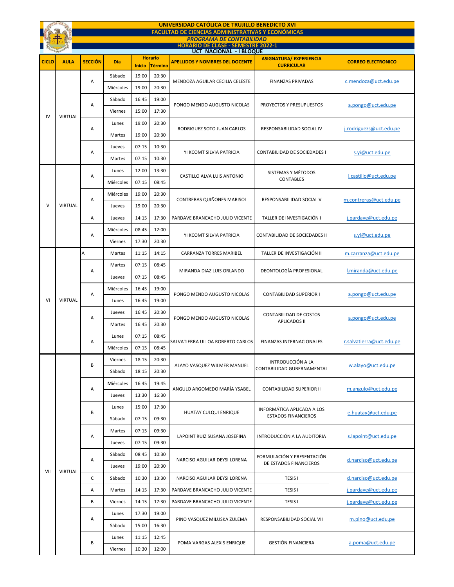| UNIVERSIDAD CATÓLICA DE TRUJILLO BENEDICTO XVI |                |                                                          |                                                                              |               |                |                                        |                                                          |                           |  |  |  |  |
|------------------------------------------------|----------------|----------------------------------------------------------|------------------------------------------------------------------------------|---------------|----------------|----------------------------------------|----------------------------------------------------------|---------------------------|--|--|--|--|
|                                                |                | <b>FACULTAD DE CIENCIAS ADMINISTRATIVAS Y ECONÓMICAS</b> |                                                                              |               |                |                                        |                                                          |                           |  |  |  |  |
|                                                |                |                                                          | <b>PROGRAMA DE CONTABILIDAD</b><br><b>HORARIO DE CLASE - SEMESTRE 2022-1</b> |               |                |                                        |                                                          |                           |  |  |  |  |
|                                                |                |                                                          |                                                                              |               | <b>Horario</b> | <b>UCT NACIONAL - I BLOQUE</b>         | <b>ASIGNATURA/ EXPERIENCIA</b>                           |                           |  |  |  |  |
| <b>CICLO</b>                                   | <b>AULA</b>    | <b>SECCIÓN</b>                                           | Día                                                                          | <b>Inicio</b> | Término        | <b>APELLIDOS Y NOMBRES DEL DOCENTE</b> | <b>CURRICULAR</b>                                        | <b>CORREO ELECTRONICO</b> |  |  |  |  |
|                                                |                |                                                          | Sábado                                                                       | 19:00         | 20:30          | MENDOZA AGUILAR CECILIA CELESTE        | <b>FINANZAS PRIVADAS</b>                                 | c.mendoza@uct.edu.pe      |  |  |  |  |
|                                                |                | А                                                        | Miércoles                                                                    | 19:00         | 20:30          |                                        |                                                          |                           |  |  |  |  |
|                                                |                |                                                          | Sábado                                                                       | 16:45         | 19:00          | PONGO MENDO AUGUSTO NICOLAS            |                                                          | a.pongo@uct.edu.pe        |  |  |  |  |
|                                                | <b>VIRTUAL</b> | Α                                                        | Viernes                                                                      | 15:00         | 17:30          |                                        | PROYECTOS Y PRESUPUESTOS                                 |                           |  |  |  |  |
| IV                                             |                | А                                                        | Lunes                                                                        | 19:00         | 20:30          | RODRIGUEZ SOTO JUAN CARLOS             | RESPONSABILIDAD SOCIAL IV                                |                           |  |  |  |  |
|                                                |                |                                                          | Martes                                                                       | 19:00         | 20:30          |                                        |                                                          | j.rodriguezs@uct.edu.pe   |  |  |  |  |
|                                                |                |                                                          | Jueves                                                                       | 07:15         | 10:30          | YI KCOMT SILVIA PATRICIA               | CONTABILIDAD DE SOCIEDADES I                             | s.yi@uct.edu.pe           |  |  |  |  |
|                                                |                | А                                                        | Martes                                                                       | 07:15         | 10:30          |                                        |                                                          |                           |  |  |  |  |
|                                                |                |                                                          | Lunes                                                                        | 12:00         | 13:30          |                                        | SISTEMAS Y MÉTODOS                                       |                           |  |  |  |  |
|                                                |                | А                                                        | Miércoles                                                                    | 07:15         | 08:45          | CASTILLO ALVA LUIS ANTONIO             | <b>CONTABLES</b>                                         | l.castillo@uct.edu.pe     |  |  |  |  |
|                                                |                |                                                          | Miércoles                                                                    | 19:00         | 20:30          |                                        |                                                          |                           |  |  |  |  |
| V                                              | <b>VIRTUAL</b> | А                                                        | Jueves                                                                       | 19:00         | 20:30          | CONTRERAS QUIÑONES MARISOL             | RESPONSABILIDAD SOCIAL V                                 | m.contreras@uct.edu.pe    |  |  |  |  |
|                                                |                | Α                                                        | Jueves                                                                       | 14:15         | 17:30          | PARDAVE BRANCACHO JULIO VICENTE        | TALLER DE INVESTIGACIÓN I                                | j.pardave@uct.edu.pe      |  |  |  |  |
|                                                |                |                                                          | Miércoles                                                                    | 08:45         | 12:00          | YI KCOMT SILVIA PATRICIA               | CONTABILIDAD DE SOCIEDADES II                            | s.yi@uct.edu.pe           |  |  |  |  |
|                                                |                | А                                                        | Viernes                                                                      | 17:30         | 20:30          |                                        |                                                          |                           |  |  |  |  |
|                                                |                | А                                                        | Martes                                                                       | 11:15         | 14:15          | <b>CARRANZA TORRES MARIBEL</b>         | TALLER DE INVESTIGACIÓN II                               | m.carranza@uct.edu.pe     |  |  |  |  |
|                                                | <b>VIRTUAL</b> | А                                                        | Martes                                                                       | 07:15         | 08:45          | MIRANDA DIAZ LUIS ORLANDO              | DEONTOLOGÍA PROFESIONAL                                  | l.miranda@uct.edu.pe      |  |  |  |  |
|                                                |                |                                                          | Jueves                                                                       | 07:15         | 08:45          |                                        |                                                          |                           |  |  |  |  |
|                                                |                | Α                                                        | Miércoles                                                                    | 16:45         | 19:00          | PONGO MENDO AUGUSTO NICOLAS            | <b>CONTABILIDAD SUPERIOR I</b>                           | a.pongo@uct.edu.pe        |  |  |  |  |
| VI                                             |                |                                                          | Lunes                                                                        | 16:45         | 19:00          |                                        |                                                          |                           |  |  |  |  |
|                                                |                | Α                                                        | Jueves                                                                       | 16:45         | 20:30          | PONGO MENDO AUGUSTO NICOLAS            | CONTABILIDAD DE COSTOS                                   |                           |  |  |  |  |
|                                                |                |                                                          | Martes                                                                       | 16:45         | 20:30          |                                        | <b>APLICADOS II</b>                                      | a.pongo@uct.edu.pe        |  |  |  |  |
|                                                |                |                                                          | Lunes                                                                        | 07:15         | 08:45          | SALVATIERRA ULLOA ROBERTO CARLOS       |                                                          |                           |  |  |  |  |
|                                                |                | А                                                        | Miércoles                                                                    | 07:15         | 08:45          |                                        | <b>FINANZAS INTERNACIONALES</b>                          | r.salvatierra@uct.edu.pe  |  |  |  |  |
|                                                |                |                                                          | Viernes                                                                      | 18:15         | 20:30          |                                        | <b>INTRODUCCIÓN A LA</b>                                 |                           |  |  |  |  |
|                                                |                | B                                                        | Sábado                                                                       | 18:15         | 20:30          | ALAYO VASQUEZ WILMER MANUEL            | CONTABILIDAD GUBERNAMENTAL                               | w.alayo@uct.edu.pe        |  |  |  |  |
|                                                |                | Α                                                        | Miércoles                                                                    | 16:45         | 19:45          | ANGULO ARGOMEDO MARÍA YSABEL           | <b>CONTABILIDAD SUPERIOR II</b>                          | m.angulo@uct.edu.pe       |  |  |  |  |
|                                                |                |                                                          | Jueves                                                                       | 13:30         | 16:30          |                                        |                                                          |                           |  |  |  |  |
|                                                |                |                                                          | Lunes                                                                        | 15:00         | 17:30          | <b>HUATAY CULQUI ENRIQUE</b>           | INFORMÁTICA APLICADA A LOS<br><b>ESTADOS FINANCIEROS</b> | e.huatay@uct.edu.pe       |  |  |  |  |
|                                                |                | В                                                        | Sábado                                                                       | 07:15         | 09:30          |                                        |                                                          |                           |  |  |  |  |
|                                                |                |                                                          | Martes                                                                       | 07:15         | 09:30          | LAPOINT RUIZ SUSANA JOSEFINA           | INTRODUCCIÓN A LA AUDITORIA                              | s.lapoint@uct.edu.pe      |  |  |  |  |
|                                                |                | А                                                        | Jueves                                                                       | 07:15         | 09:30          |                                        |                                                          |                           |  |  |  |  |
|                                                |                | Α                                                        | Sábado                                                                       | 08:45         | 10:30          | NARCISO AGUILAR DEYSI LORENA           | FORMULACIÓN Y PRESENTACIÓN<br>DE ESTADOS FINANCIEROS     | d.narciso@uct.edu.pe      |  |  |  |  |
|                                                |                |                                                          | Jueves                                                                       | 19:00         | 20:30          |                                        |                                                          |                           |  |  |  |  |
| VII                                            | <b>VIRTUAL</b> | C                                                        | Sábado                                                                       | 10:30         | 13:30          | NARCISO AGUILAR DEYSI LORENA           | <b>TESIS I</b>                                           | d.narciso@uct.edu.pe      |  |  |  |  |
|                                                |                | Α                                                        | Martes                                                                       | 14:15         | 17:30          | PARDAVE BRANCACHO JULIO VICENTE        | <b>TESIS I</b>                                           | j.pardave@uct.edu.pe      |  |  |  |  |
|                                                |                | В                                                        | Viernes                                                                      | 14:15         | 17:30          | PARDAVE BRANCACHO JULIO VICENTE        | <b>TESIS I</b>                                           | j.pardave@uct.edu.pe      |  |  |  |  |
|                                                |                | Α                                                        | Lunes                                                                        | 17:30         | 19:00          | PINO VASQUEZ MILUSKA ZULEMA            | RESPONSABILIDAD SOCIAL VII                               | m.pino@uct.edu.pe         |  |  |  |  |
|                                                |                |                                                          | Sábado                                                                       | 15:00         | 16:30          |                                        |                                                          |                           |  |  |  |  |
|                                                |                | В                                                        | Lunes                                                                        | 11:15         | 12:45          |                                        | <b>GESTIÓN FINANCIERA</b>                                | a.poma@uct.edu.pe         |  |  |  |  |
|                                                |                |                                                          | Viernes                                                                      | 10:30         | 12:00          | POMA VARGAS ALEXIS ENRIQUE             |                                                          |                           |  |  |  |  |
|                                                |                |                                                          |                                                                              |               |                |                                        |                                                          |                           |  |  |  |  |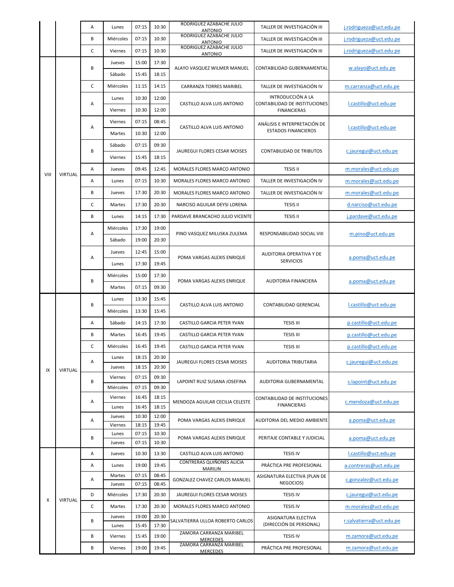|      |         | Α           | Lunes               | 07:15          | 10:30          | RODRIGUEZ AZABACHE JULIO<br>ANTONIO                             | TALLER DE INVESTIGACIÓN III                                                           | j.rodrigueza@uct.edu.pe                      |
|------|---------|-------------|---------------------|----------------|----------------|-----------------------------------------------------------------|---------------------------------------------------------------------------------------|----------------------------------------------|
|      |         | В           | Miércoles           | 07:15          | 10:30          | RODRIGUEZ AZABACHE JULIO<br><b>ANTONIO</b>                      | TALLER DE INVESTIGACIÓN III                                                           | j.rodrigueza@uct.edu.pe                      |
|      |         | C           | Viernes             | 07:15          | 10:30          | RODRIGUEZ AZABACHE JULIO<br><b>ANTONIO</b>                      | TALLER DE INVESTIGACIÓN III                                                           | j.rodrigueza@uct.edu.pe                      |
|      |         |             | Jueves              | 15:00          | 17:30          | ALAYO VASQUEZ WILMER MANUEL                                     |                                                                                       |                                              |
|      |         | В           | Sábado              | 15:45          | 18:15          |                                                                 | CONTABILIDAD GUBERNAMENTAL                                                            | w.alayo@uct.edu.pe                           |
|      |         | C           | Miércoles           | 11:15          | 14:15          | <b>CARRANZA TORRES MARIBEL</b>                                  | TALLER DE INVESTIGACIÓN IV                                                            | m.carranza@uct.edu.pe                        |
|      |         | Α           | Lunes               | 10:30          | 12:00          | CASTILLO ALVA LUIS ANTONIO                                      | INTRODUCCIÓN A LA                                                                     | l.castillo@uct.edu.pe                        |
|      |         |             | Viernes             | 10:30          | 12:00          |                                                                 | CONTABILIDAD DE INSTITUCIONES<br><b>FINANCIERAS</b>                                   |                                              |
|      |         | Α           | Viernes             | 07:15          | 08:45          | CASTILLO ALVA LUIS ANTONIO                                      | ANÁLISIS E INTERPRETACIÓN DE<br><b>ESTADOS FINANCIEROS</b>                            | l.castillo@uct.edu.pe                        |
|      |         |             | Martes              | 10:30          | 12:00          |                                                                 |                                                                                       |                                              |
|      |         |             | Sábado              | 07:15          | 09:30          | JAUREGUI FLORES CESAR MOISES                                    | <b>CONTABILIDAD DE TRIBUTOS</b>                                                       | c.jauregui@uct.edu.pe                        |
|      |         | В           | Viernes             | 15:45          | 18:15          |                                                                 |                                                                                       |                                              |
|      |         | Α           | Jueves              | 09:45          | 12:45          | MORALES FLORES MARCO ANTONIO                                    | <b>TESIS II</b>                                                                       | m.morales@uct.edu.pe                         |
| VIII | VIRTUAL | Α           | Lunes               | 07:15          | 10:30          | MORALES FLORES MARCO ANTONIO                                    | TALLER DE INVESTIGACIÓN IV                                                            | m.morales@uct.edu.pe                         |
|      |         | В           | Jueves              | 17:30          | 20:30          | MORALES FLORES MARCO ANTONIO                                    | TALLER DE INVESTIGACIÓN IV                                                            | m.morales@uct.edu.pe                         |
|      |         | C           | Martes              | 17:30          | 20:30          | NARCISO AGUILAR DEYSI LORENA                                    | <b>TESIS II</b>                                                                       | d.narciso@uct.edu.pe                         |
|      |         | В           | Lunes               | 14:15          | 17:30          | PARDAVE BRANCACHO JULIO VICENTE                                 | <b>TESIS II</b>                                                                       | j.pardave@uct.edu.pe                         |
|      |         |             | Miércoles           | 17:30          | 19:00          | PINO VASQUEZ MILUSKA ZULEMA                                     | RESPONSABILIDAD SOCIAL VIII                                                           | m.pino@uct.edu.pe                            |
|      |         | Α           | Sábado              | 19:00          | 20:30          |                                                                 |                                                                                       |                                              |
|      |         | Α           | Jueves              | 12:45          | 15:00          | POMA VARGAS ALEXIS ENRIQUE                                      | AUDITORIA OPERATIVA Y DE<br><b>SERVICIOS</b>                                          | a.poma@uct.edu.pe                            |
|      |         |             | Lunes               | 17:30          | 19:45          |                                                                 |                                                                                       |                                              |
|      |         |             | Miércoles           | 15:00          | 17:30          |                                                                 |                                                                                       |                                              |
|      |         | В           | Martes              | 07:15          | 09:30          | POMA VARGAS ALEXIS ENRIQUE                                      | <b>AUDITORIA FINANCIERA</b>                                                           | a.poma@uct.edu.pe                            |
|      |         |             | Lunes               | 13:30          | 15:45          |                                                                 |                                                                                       |                                              |
|      | VIRTUAL | B           | Miércoles           | 13:30          | 15:45          | CASTILLO ALVA LUIS ANTONIO                                      | CONTABILIDAD GERENCIAL                                                                | l.castillo@uct.edu.pe                        |
|      |         | Α           | Sábado              | 14:15          | 17:30          | CASTILLO GARCIA PETER YVAN                                      | <b>TESIS III</b>                                                                      | p.castillo@uct.edu.pe                        |
|      |         | В           | Martes              | 16:45          | 19:45          | CASTILLO GARCIA PETER YVAN                                      | <b>TESIS III</b>                                                                      | p.castillo@uct.edu.pe                        |
|      |         | C           | Miércoles           | 16:45          | 19:45          | CASTILLO GARCIA PETER YVAN                                      | <b>TESIS III</b>                                                                      | p.castillo@uct.edu.pe                        |
|      |         |             | Lunes               | 18:15          | 20:30          |                                                                 |                                                                                       |                                              |
| IX   |         | Α           | Jueves              | 18:15          | 20:30          | JAUREGUI FLORES CESAR MOISES                                    | <b>AUDITORIA TRIBUTARIA</b>                                                           | c.jauregui@uct.edu.pe                        |
|      |         | B<br>Α<br>Α | Viernes             | 07:15          | 09:30          | LAPOINT RUIZ SUSANA JOSEFINA<br>MENDOZA AGUILAR CECILIA CELESTE | AUDITORIA GUBERNAMENTAL<br><b>CONTABILIDAD DE INSTITUCIONES</b><br><b>FINANCIERAS</b> | s.lapoint@uct.edu.pe<br>c.mendoza@uct.edu.pe |
|      |         |             | Miércoles           | 07:15          | 09:30          |                                                                 |                                                                                       |                                              |
|      |         |             | Viernes             | 16:45          | 18:15          |                                                                 |                                                                                       |                                              |
|      |         |             | Lunes               | 16:45<br>10:30 | 18:15<br>12:00 |                                                                 |                                                                                       |                                              |
|      |         |             | Jueves<br>Viernes   | 18:15          | 19:45          | POMA VARGAS ALEXIS ENRIQUE                                      | AUDITORIA DEL MEDIO AMBIENTE                                                          | a.poma@uct.edu.pe                            |
|      |         |             | Lunes               | 07:15          | 10:30          |                                                                 |                                                                                       |                                              |
|      |         | В           | Jueves              | 07:15          | 10:30          | POMA VARGAS ALEXIS ENRIQUE                                      | PERITAJE CONTABLE Y JUDICIAL                                                          | a.poma@uct.edu.pe                            |
|      | VIRTUAL | Α           | Jueves              | 10:30          | 13:30          | CASTILLO ALVA LUIS ANTONIO                                      | <b>TESIS IV</b>                                                                       | l.castillo@uct.edu.pe                        |
|      |         | Α           | Lunes               | 19:00          | 19:45          | CONTRERAS QUIÑONES ALICIA<br><b>MARILIN</b>                     | PRÁCTICA PRE PROFESIONAL                                                              | a.contreras@uct.edu.pe                       |
|      |         | Α           | Martes              | 07:15          | 08:45          | <b>GONZALEZ CHAVEZ CARLOS MANUEL</b>                            | ASIGNATURA ELECTIVA (PLAN DE<br>NEGOCIOS)                                             | c.gonzalez@uct.edu.pe                        |
|      |         | D           | Jueves<br>Miércoles | 07:15<br>17:30 | 08:45<br>20:30 | JAUREGUI FLORES CESAR MOISES                                    | <b>TESIS IV</b>                                                                       |                                              |
| X    |         | C           |                     | 17:30          |                |                                                                 |                                                                                       | c.jauregui@uct.edu.pe                        |
|      |         |             | Martes<br>Jueves    | 19:00          | 20:30<br>20:30 | MORALES FLORES MARCO ANTONIO                                    | <b>TESIS IV</b><br>ASIGNATURA ELECTIVA                                                | m.morales@uct.edu.pe                         |
|      |         | B           | Lunes               | 15:45          | 17:30          | SALVATIERRA ULLOA ROBERTO CARLOS                                | (DIRECCIÓN DE PERSONAL)                                                               | r.salvatierra@uct.edu.pe                     |
|      |         | B           | Viernes             | 15:45          | 19:00          | ZAMORA CARRANZA MARIBEL<br>MERCEDES                             | <b>TESIS IV</b>                                                                       | m.zamora@uct.edu.pe                          |
|      |         | В           | Viernes             | 19:00          | 19:45          | ZAMORA CARRANZA MARIBEL<br><b>MERCEDES</b>                      | PRÁCTICA PRE PROFESIONAL                                                              | m.zamora@uct.edu.pe                          |
|      |         |             |                     |                |                |                                                                 |                                                                                       |                                              |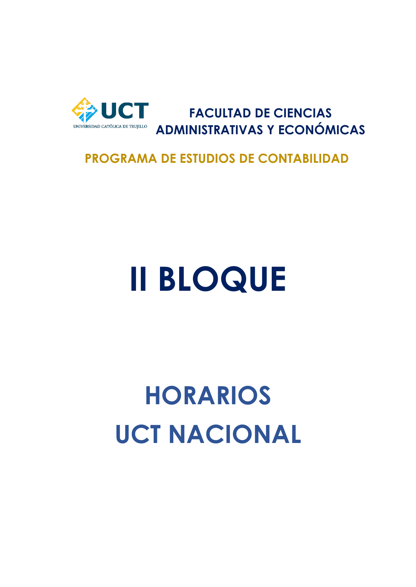

**FACULTAD DE CIENCIAS ADMINISTRATIVAS Y ECONÓMICAS**

#### **PROGRAMA DE ESTUDIOS DE CONTABILIDAD**

# **II BLOQUE**

### **HORARIOS UCT NACIONAL**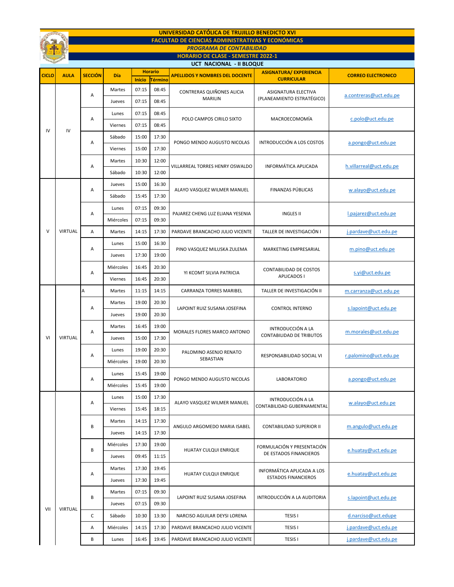| UNIVERSIDAD CATÓLICA DE TRUJILLO BENEDICTO XVI<br><b>FACULTAD DE CIENCIAS ADMINISTRATIVAS Y ECONÓMICAS</b> |                |                |           |               |                |                                             |                                                          |                           |  |
|------------------------------------------------------------------------------------------------------------|----------------|----------------|-----------|---------------|----------------|---------------------------------------------|----------------------------------------------------------|---------------------------|--|
| <b>PROGRAMA DE CONTABILIDAD</b>                                                                            |                |                |           |               |                |                                             |                                                          |                           |  |
| <b>HORARIO DE CLASE - SEMESTRE 2022-1</b><br>UCT NACIONAL - II BLOQUE                                      |                |                |           |               |                |                                             |                                                          |                           |  |
| <b>Horario</b>                                                                                             |                |                |           |               |                |                                             | <b>ASIGNATURA/ EXPERIENCIA</b>                           |                           |  |
| CICLO                                                                                                      | <b>AULA</b>    | <b>SECCIÓN</b> | Día       | <b>Inicio</b> | <b>Término</b> | <b>APELLIDOS Y NOMBRES DEL DOCENTE</b>      | <b>CURRICULAR</b>                                        | <b>CORREO ELECTRONICO</b> |  |
|                                                                                                            |                | Α              | Martes    | 07:15         | 08:45          | CONTRERAS QUIÑONES ALICIA<br><b>MARILIN</b> | ASIGNATURA ELECTIVA<br>(PLANEAMIENTO ESTRATÉGICO)        | a.contreras@uct.edu.pe    |  |
|                                                                                                            |                |                | Jueves    | 07:15         | 08:45          |                                             |                                                          |                           |  |
|                                                                                                            | IV             | Α              | Lunes     | 07:15         | 08:45          | POLO CAMPOS CIRILO SIXTO                    | MACROECOMOMÍA                                            | c.polo@uct.edu.pe         |  |
| IV                                                                                                         |                |                | Viernes   | 07:15         | 08:45          |                                             |                                                          |                           |  |
|                                                                                                            |                | Α              | Sábado    | 15:00         | 17:30          | PONGO MENDO AUGUSTO NICOLAS                 | INTRODUCCIÓN A LOS COSTOS                                | a.pongo@uct.edu.pe        |  |
|                                                                                                            |                |                | Viernes   | 15:00         | 17:30          |                                             |                                                          |                           |  |
|                                                                                                            |                | Α              | Martes    | 10:30         | 12:00          | VILLARREAL TORRES HENRY OSWALDO             | INFORMÁTICA APLICADA                                     | h.villarreal@uct.edu.pe   |  |
|                                                                                                            |                |                | Sábado    | 10:30         | 12:00          |                                             |                                                          |                           |  |
|                                                                                                            |                | Α              | Jueves    | 15:00         | 16:30          |                                             |                                                          | w.alayo@uct.edu.pe        |  |
|                                                                                                            |                |                | Sábado    | 15:45         | 17:30          | ALAYO VASQUEZ WILMER MANUEL                 | FINANZAS PÚBLICAS                                        |                           |  |
|                                                                                                            |                |                | Lunes     | 07:15         | 09:30          | PAJAREZ CHENG LUZ ELIANA YESENIA            | <b>INGLES II</b>                                         | l.pajarez@uct.edu.pe      |  |
|                                                                                                            |                | Α              | Miércoles | 07:15         | 09:30          |                                             |                                                          |                           |  |
| $\vee$                                                                                                     | VIRTUAL        | A              | Martes    | 14:15         | 17:30          | PARDAVE BRANCACHO JULIO VICENTE             | TALLER DE INVESTIGACIÓN I                                | j.pardave@uct.edu.pe      |  |
|                                                                                                            |                |                | Lunes     | 15:00         | 16:30          | PINO VASQUEZ MILUSKA ZULEMA                 | MARKETING EMPRESARIAL                                    | m.pino@uct.edu.pe         |  |
|                                                                                                            |                | Α              | Jueves    | 17:30         | 19:00          |                                             |                                                          |                           |  |
|                                                                                                            |                |                | Miércoles | 16:45         | 20:30          | YI KCOMT SILVIA PATRICIA                    | CONTABILIDAD DE COSTOS<br><b>APLICADOS I</b>             | s.yi@uct.edu.pe           |  |
|                                                                                                            |                | Α              | Viernes   | 16:45         | 20:30          |                                             |                                                          |                           |  |
|                                                                                                            |                | А              | Martes    | 11:15         | 14:15          | <b>CARRANZA TORRES MARIBEL</b>              | TALLER DE INVESTIGACIÓN II                               | m.carranza@uct.edu.pe     |  |
|                                                                                                            |                |                | Martes    | 19:00         | 20:30          | LAPOINT RUIZ SUSANA JOSEFINA                |                                                          |                           |  |
|                                                                                                            | <b>VIRTUAL</b> | Α              | Jueves    | 19:00         | 20:30          |                                             | <b>CONTROL INTERNO</b>                                   | s.lapoint@uct.edu.pe      |  |
|                                                                                                            |                | Α              | Martes    | 16:45         | 19:00          | MORALES FLORES MARCO ANTONIO                | INTRODUCCIÓN A LA                                        | m.morales@uct.edu.pe      |  |
| VI                                                                                                         |                |                | Jueves    | 15:00         | 17:30          |                                             | <b>CONTABILIDAD DE TRIBUTOS</b>                          |                           |  |
|                                                                                                            |                | Α              | Lunes     | 19:00         | 20:30          | PALOMINO ASENJO RENATO<br>SEBASTIAN         | RESPONSABILIDAD SOCIAL VI                                | r.palomino@uct.edu.pe     |  |
|                                                                                                            |                |                | Miércoles | 19:00         | 20:30          |                                             |                                                          |                           |  |
|                                                                                                            |                | Α              | Lunes     | 15:45         | 19:00          | PONGO MENDO AUGUSTO NICOLAS                 | <b>LABORATORIO</b>                                       | a.pongo@uct.edu.pe        |  |
|                                                                                                            |                |                | Miércoles | 15:45         | 19:00          |                                             |                                                          |                           |  |
|                                                                                                            |                |                | Lunes     | 15:00         | 17:30          |                                             | INTRODUCCIÓN A LA                                        |                           |  |
|                                                                                                            |                | Α              | Viernes   | 15:45         | 18:15          | ALAYO VASQUEZ WILMER MANUEL                 | CONTABILIDAD GUBERNAMENTAL                               | w.alayo@uct.edu.pe        |  |
|                                                                                                            |                |                | Martes    | 14:15         | 17:30          |                                             |                                                          |                           |  |
|                                                                                                            |                | В              | Jueves    | 14:15         | 17:30          | ANGULO ARGOMEDO MARIA ISABEL                | <b>CONTABILIDAD SUPERIOR II</b>                          | m.angulo@uct.edu.pe       |  |
|                                                                                                            |                |                | Miércoles | 17:30         | 19:00          |                                             |                                                          |                           |  |
|                                                                                                            |                | В              | Jueves    | 09:45         | 11:15          | HUATAY CULQUI ENRIQUE                       | FORMULACIÓN Y PRESENTACIÓN<br>DE ESTADOS FINANCIEROS     | e.huatay@uct.edu.pe       |  |
|                                                                                                            |                |                | Martes    | 17:30         | 19:45          |                                             |                                                          |                           |  |
|                                                                                                            | <b>VIRTUAL</b> | Α              | Jueves    | 17:30         | 19:45          | <b>HUATAY CULQUI ENRIQUE</b>                | INFORMÁTICA APLICADA A LOS<br><b>ESTADOS FINANCIEROS</b> | e.huatay@uct.edu.pe       |  |
|                                                                                                            |                | В              | Martes    | 07:15         | 09:30          | LAPOINT RUIZ SUSANA JOSEFINA                | INTRODUCCIÓN A LA AUDITORIA                              | s.lapoint@uct.edu.pe      |  |
|                                                                                                            |                |                | Jueves    | 07:15         | 09:30          |                                             |                                                          |                           |  |
| VII                                                                                                        |                | C              | Sábado    | 10:30         | 13:30          | NARCISO AGUILAR DEYSI LORENA                | <b>TESIS I</b>                                           | d.narciso@uct.edupe       |  |
|                                                                                                            |                | Α              | Miércoles | 14:15         | 17:30          | PARDAVE BRANCACHO JULIO VICENTE             | <b>TESIS I</b>                                           | j.pardave@uct.edu.pe      |  |
|                                                                                                            |                | В              | Lunes     | 16:45         | 19:45          | PARDAVE BRANCACHO JULIO VICENTE             | <b>TESIS I</b>                                           | j.pardave@uct.edu.pe      |  |
|                                                                                                            |                |                |           |               |                |                                             |                                                          |                           |  |